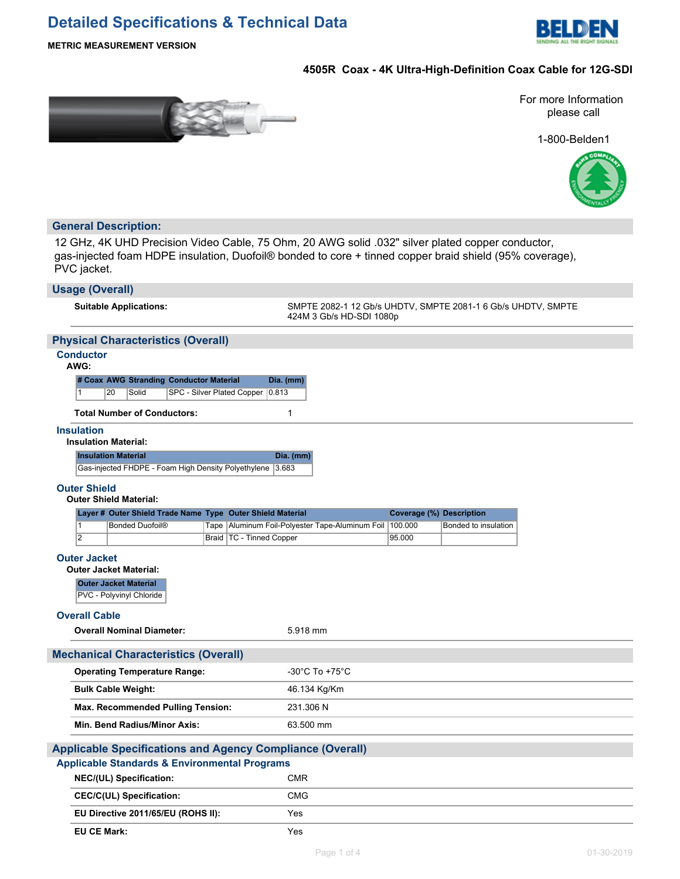# **Detailed Specifications & Technical Data**



**METRIC MEASUREMENT VERSION**

# **4505R Coax - 4K Ultra-High-Definition Coax Cable for 12G-SDI**



For more Information please call

1-800-Belden1



# **General Description:**

12 GHz, 4K UHD Precision Video Cable, 75 Ohm, 20 AWG solid .032" silver plated copper conductor, gas-injected foam HDPE insulation, Duofoil® bonded to core + tinned copper braid shield (95% coverage), PVC jacket.

| <b>Usage (Overall)</b>                                                                                                       |                                                                                          |  |  |  |  |  |
|------------------------------------------------------------------------------------------------------------------------------|------------------------------------------------------------------------------------------|--|--|--|--|--|
| <b>Suitable Applications:</b>                                                                                                | SMPTE 2082-1 12 Gb/s UHDTV, SMPTE 2081-1 6 Gb/s UHDTV, SMPTE<br>424M 3 Gb/s HD-SDI 1080p |  |  |  |  |  |
| <b>Physical Characteristics (Overall)</b>                                                                                    |                                                                                          |  |  |  |  |  |
| <b>Conductor</b><br>AWG:                                                                                                     |                                                                                          |  |  |  |  |  |
| # Coax AWG Stranding Conductor Material<br>20<br>Solid<br>1                                                                  | Dia. (mm)<br>SPC - Silver Plated Copper   0.813                                          |  |  |  |  |  |
| <b>Total Number of Conductors:</b>                                                                                           | 1                                                                                        |  |  |  |  |  |
| <b>Insulation</b><br><b>Insulation Material:</b>                                                                             |                                                                                          |  |  |  |  |  |
| <b>Insulation Material</b>                                                                                                   | Dia. (mm)                                                                                |  |  |  |  |  |
| Gas-injected FHDPE - Foam High Density Polyethylene                                                                          | 3.683                                                                                    |  |  |  |  |  |
| <b>Outer Shield</b><br><b>Outer Shield Material:</b>                                                                         |                                                                                          |  |  |  |  |  |
| Layer # Outer Shield Trade Name Type Outer Shield Material                                                                   | Coverage (%) Description                                                                 |  |  |  |  |  |
| <b>Bonded Duofoil®</b><br>Tape<br>1                                                                                          | Aluminum Foil-Polyester Tape-Aluminum Foil 100.000<br>Bonded to insulation               |  |  |  |  |  |
| $\overline{2}$<br>Braid   TC - Tinned Copper                                                                                 | 95.000                                                                                   |  |  |  |  |  |
| <b>Outer Jacket</b>                                                                                                          |                                                                                          |  |  |  |  |  |
| <b>Outer Jacket Material:</b>                                                                                                |                                                                                          |  |  |  |  |  |
| <b>Outer Jacket Material</b><br>PVC - Polyvinyl Chloride                                                                     |                                                                                          |  |  |  |  |  |
| <b>Overall Cable</b>                                                                                                         |                                                                                          |  |  |  |  |  |
| <b>Overall Nominal Diameter:</b>                                                                                             | 5.918 mm                                                                                 |  |  |  |  |  |
| <b>Mechanical Characteristics (Overall)</b>                                                                                  |                                                                                          |  |  |  |  |  |
| <b>Operating Temperature Range:</b>                                                                                          | -30 $^{\circ}$ C To +75 $^{\circ}$ C                                                     |  |  |  |  |  |
| <b>Bulk Cable Weight:</b>                                                                                                    | 46.134 Kg/Km                                                                             |  |  |  |  |  |
| Max. Recommended Pulling Tension:                                                                                            | 231.306 N                                                                                |  |  |  |  |  |
| Min. Bend Radius/Minor Axis:                                                                                                 | 63.500 mm                                                                                |  |  |  |  |  |
|                                                                                                                              |                                                                                          |  |  |  |  |  |
| <b>Applicable Specifications and Agency Compliance (Overall)</b><br><b>Applicable Standards &amp; Environmental Programs</b> |                                                                                          |  |  |  |  |  |
| NEC/(UL) Specification:<br><b>CMR</b>                                                                                        |                                                                                          |  |  |  |  |  |
| <b>CEC/C(UL) Specification:</b>                                                                                              | <b>CMG</b>                                                                               |  |  |  |  |  |
| EU Directive 2011/65/EU (ROHS II):                                                                                           | Yes                                                                                      |  |  |  |  |  |
| <b>EU CE Mark:</b>                                                                                                           | Yes                                                                                      |  |  |  |  |  |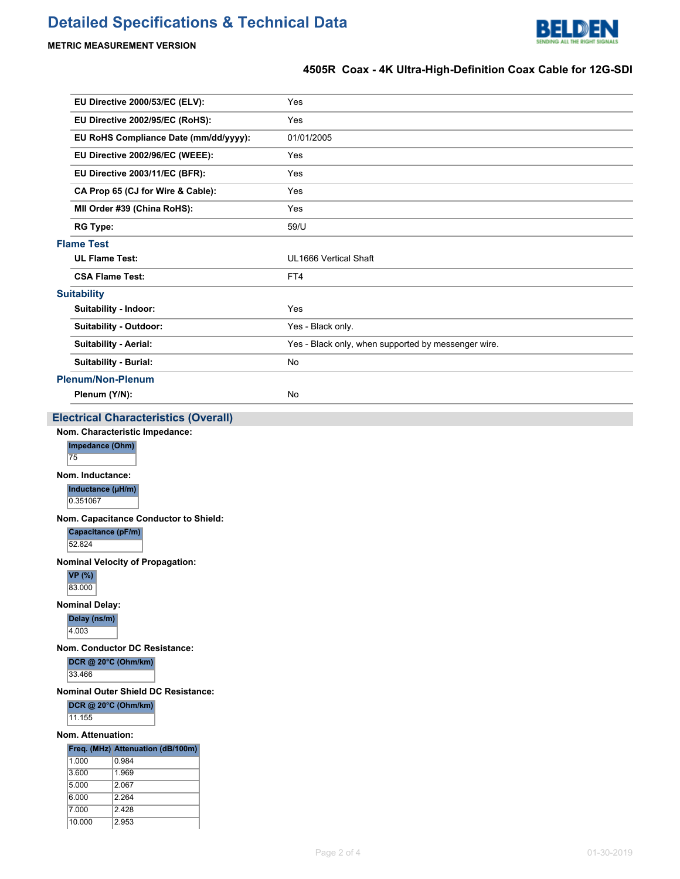# **Detailed Specifications & Technical Data**



# **METRIC MEASUREMENT VERSION**

# **4505R Coax - 4K Ultra-High-Definition Coax Cable for 12G-SDI**

| EU Directive 2000/53/EC (ELV):        | Yes                                                 |
|---------------------------------------|-----------------------------------------------------|
| EU Directive 2002/95/EC (RoHS):       | Yes                                                 |
| EU RoHS Compliance Date (mm/dd/yyyy): | 01/01/2005                                          |
| EU Directive 2002/96/EC (WEEE):       | Yes                                                 |
| EU Directive 2003/11/EC (BFR):        | Yes                                                 |
| CA Prop 65 (CJ for Wire & Cable):     | Yes                                                 |
| MII Order #39 (China RoHS):           | Yes                                                 |
| <b>RG Type:</b>                       | 59/U                                                |
| <b>Flame Test</b>                     |                                                     |
| <b>UL Flame Test:</b>                 | UL1666 Vertical Shaft                               |
| <b>CSA Flame Test:</b>                | FT4                                                 |
| Suitability                           |                                                     |
| Suitability - Indoor:                 | Yes                                                 |
| Suitability - Outdoor:                | Yes - Black only.                                   |
| <b>Suitability - Aerial:</b>          | Yes - Black only, when supported by messenger wire. |
| Suitability - Burial:                 | No                                                  |
| <b>Plenum/Non-Plenum</b>              |                                                     |
| Plenum (Y/N):                         | <b>No</b>                                           |
|                                       |                                                     |

# **Electrical Characteristics (Overall)**

**Nom. Characteristic Impedance:**

## **Impedance (Ohm)**

75

# **Nom. Inductance:**

**Inductance (µH/m)**

# 0.351067

**Nom. Capacitance Conductor to Shield:**

**Capacitance (pF/m)**

52.824

**Nominal Velocity of Propagation:**

**VP (%)** 83.000

### **Nominal Delay:**

**Delay (ns/m)**

4.003

**Nom. Conductor DC Resistance:**

**DCR @ 20°C (Ohm/km)**

33.466

**Nominal Outer Shield DC Resistance:**

#### **DCR @ 20°C (Ohm/km)**

11.155

#### **Nom. Attenuation:**

### **Freq. (MHz) Attenuation (dB/100m)**

| 1.000  | 0.984   |
|--------|---------|
| 3.600  | 1.969   |
| 5.000  | 2.067   |
| 6.000  | 2 2 6 4 |
| 7.000  | 2.428   |
| 10.000 | 2.953   |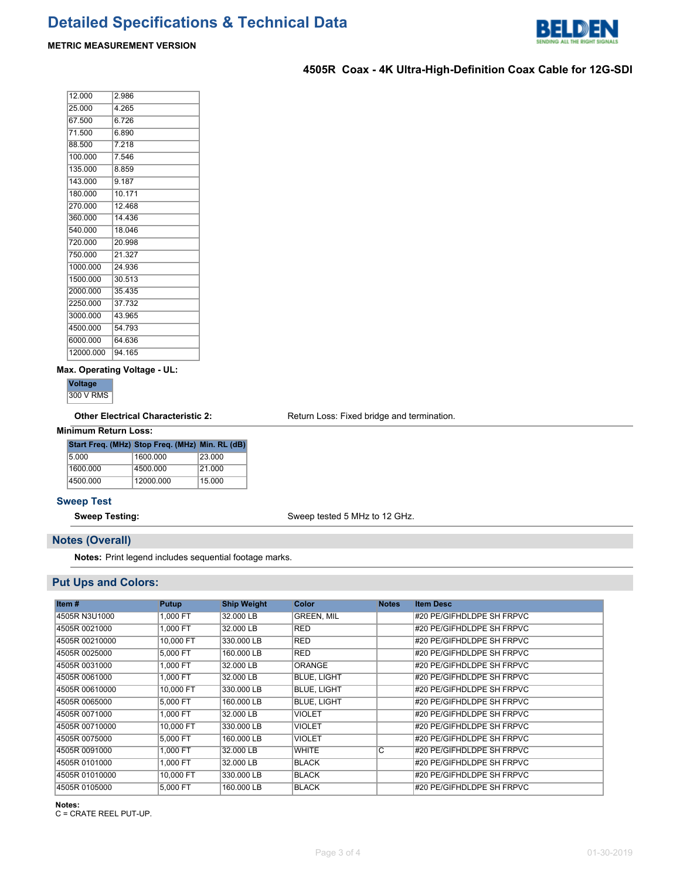

# **METRIC MEASUREMENT VERSION**

# **4505R Coax - 4K Ultra-High-Definition Coax Cable for 12G-SDI**

| 12.000    | 2.986  |
|-----------|--------|
| 25.000    | 4.265  |
| 67.500    | 6.726  |
| 71.500    | 6.890  |
| 88.500    | 7.218  |
| 100.000   | 7.546  |
| 135.000   | 8.859  |
| 143.000   | 9.187  |
| 180.000   | 10.171 |
| 270.000   | 12.468 |
| 360.000   | 14.436 |
| 540.000   | 18.046 |
| 720.000   | 20.998 |
| 750.000   | 21 327 |
| 1000.000  | 24.936 |
| 1500.000  | 30.513 |
| 2000.000  | 35.435 |
| 2250.000  | 37.732 |
| 3000.000  | 43.965 |
| 4500.000  | 54.793 |
| 6000.000  | 64.636 |
| 12000.000 | 94.165 |

### **Max. Operating Voltage - UL:**

**Voltage** 300 V RMS

Other Electrical Characteristic 2: Return Loss: Fixed bridge and termination.

### **Minimum Return Loss:**

|          | Start Freq. (MHz) Stop Freq. (MHz) Min. RL (dB) |        |
|----------|-------------------------------------------------|--------|
| 5.000    | 1600.000                                        | 23.000 |
| 1600.000 | 4500.000                                        | 21.000 |
| 4500.000 | 12000.000                                       | 15.000 |

## **Sweep Test**

**Sweep Testing:** Sweep tested 5 MHz to 12 GHz.

# **Notes (Overall)**

**Notes:** Print legend includes sequential footage marks.

# **Put Ups and Colors:**

| Item#          | Putup     | <b>Ship Weight</b> | Color              | <b>Notes</b> | <b>Item Desc</b>          |
|----------------|-----------|--------------------|--------------------|--------------|---------------------------|
| 4505R N3U1000  | 1,000 FT  | 32,000 LB          | <b>GREEN, MIL</b>  |              | #20 PE/GIFHDLDPE SH FRPVC |
| 4505R 0021000  | 1,000 FT  | 32,000 LB          | <b>RED</b>         |              | #20 PE/GIFHDLDPE SH FRPVC |
| 4505R 00210000 | 10,000 FT | 330,000 LB         | <b>RED</b>         |              | #20 PE/GIFHDLDPE SH FRPVC |
| 4505R 0025000  | 5,000 FT  | 160,000 LB         | <b>RED</b>         |              | #20 PE/GIFHDLDPE SH FRPVC |
| 4505R 0031000  | 1.000 FT  | 32,000 LB          | <b>ORANGE</b>      |              | #20 PE/GIFHDLDPE SH FRPVC |
| 4505R 0061000  | 1.000 FT  | 32,000 LB          | <b>BLUE, LIGHT</b> |              | #20 PE/GIFHDLDPE SH FRPVC |
| 4505R 00610000 | 10,000 FT | 330,000 LB         | <b>BLUE, LIGHT</b> |              | #20 PE/GIFHDLDPE SH FRPVC |
| 4505R 0065000  | 5,000 FT  | 160,000 LB         | <b>BLUE, LIGHT</b> |              | #20 PE/GIFHDLDPE SH FRPVC |
| 4505R 0071000  | 1,000 FT  | 32,000 LB          | <b>VIOLET</b>      |              | #20 PE/GIFHDLDPE SH FRPVC |
| 4505R 00710000 | 10,000 FT | 330,000 LB         | <b>VIOLET</b>      |              | #20 PE/GIFHDLDPE SH FRPVC |
| 4505R 0075000  | 5.000 FT  | 160,000 LB         | <b>VIOLET</b>      |              | #20 PE/GIFHDLDPE SH FRPVC |
| 4505R 0091000  | 1,000 FT  | 32,000 LB          | <b>WHITE</b>       | C            | #20 PE/GIFHDLDPE SH FRPVC |
| 4505R 0101000  | 1.000 FT  | 32,000 LB          | <b>BLACK</b>       |              | #20 PE/GIFHDLDPE SH FRPVC |
| 4505R 01010000 | 10,000 FT | 330,000 LB         | <b>BLACK</b>       |              | #20 PE/GIFHDLDPE SH FRPVC |
| 4505R 0105000  | 5.000 FT  | 160,000 LB         | <b>BLACK</b>       |              | #20 PE/GIFHDLDPE SH FRPVC |

**Notes:**

C = CRATE REEL PUT-UP.